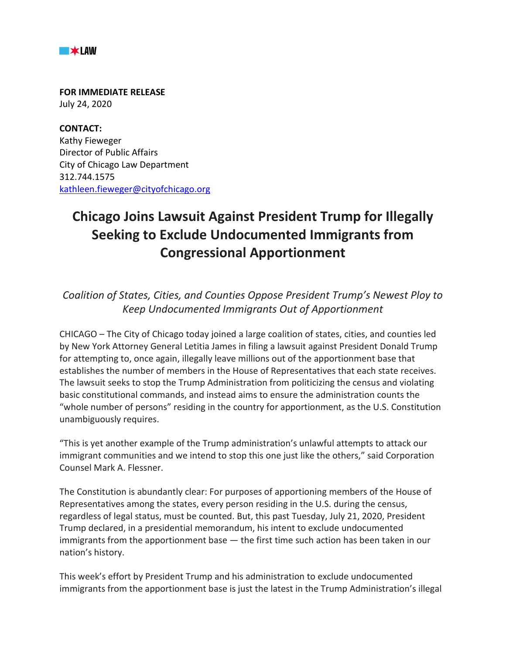

**FOR IMMEDIATE RELEASE** July 24, 2020

**CONTACT:** Kathy Fieweger Director of Public Affairs City of Chicago Law Department 312.744.1575 kathleen.fieweger@cityofchicago.org

## **Chicago Joins Lawsuit Against President Trump for Illegally Seeking to Exclude Undocumented Immigrants from Congressional Apportionment**

*Coalition of States, Cities, and Counties Oppose President Trump's Newest Ploy to Keep Undocumented Immigrants Out of Apportionment*

CHICAGO – The City of Chicago today joined a large coalition of states, cities, and counties led by New York Attorney General Letitia James in filing a lawsuit against President Donald Trump for attempting to, once again, illegally leave millions out of the apportionment base that establishes the number of members in the House of Representatives that each state receives. The lawsuit seeks to stop the Trump Administration from politicizing the census and violating basic constitutional commands, and instead aims to ensure the administration counts the "whole number of persons" residing in the country for apportionment, as the U.S. Constitution unambiguously requires.

"This is yet another example of the Trump administration's unlawful attempts to attack our immigrant communities and we intend to stop this one just like the others," said Corporation Counsel Mark A. Flessner.

The Constitution is abundantly clear: For purposes of apportioning members of the House of Representatives among the states, every person residing in the U.S. during the census, regardless of legal status, must be counted. But, this past Tuesday, July 21, 2020, President Trump declared, in a presidential memorandum, his intent to exclude undocumented immigrants from the apportionment base — the first time such action has been taken in our nation's history.

This week's effort by President Trump and his administration to exclude undocumented immigrants from the apportionment base is just the latest in the Trump Administration's illegal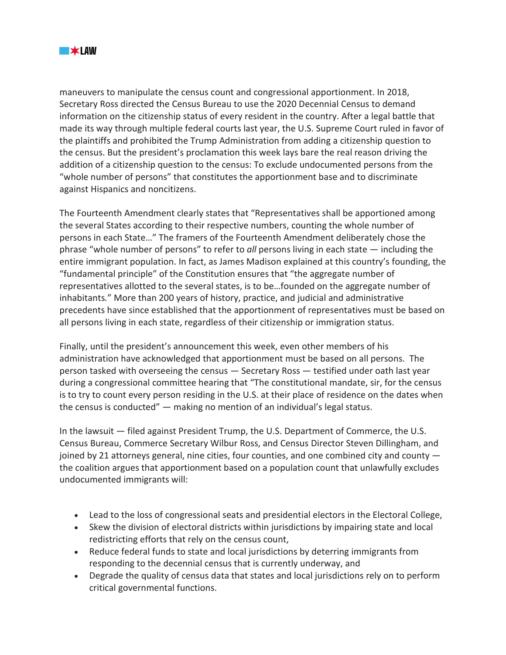

maneuvers to manipulate the census count and congressional apportionment. In 2018, Secretary Ross directed the Census Bureau to use the 2020 Decennial Census to demand information on the citizenship status of every resident in the country. After a legal battle that made its way through multiple federal courts last year, the U.S. Supreme Court ruled in favor of the plaintiffs and prohibited the Trump Administration from adding a citizenship question to the census. But the president's proclamation this week lays bare the real reason driving the addition of a citizenship question to the census: To exclude undocumented persons from the "whole number of persons" that constitutes the apportionment base and to discriminate against Hispanics and noncitizens.

The Fourteenth Amendment clearly states that "Representatives shall be apportioned among the several States according to their respective numbers, counting the whole number of persons in each State…" The framers of the Fourteenth Amendment deliberately chose the phrase "whole number of persons" to refer to *all* persons living in each state — including the entire immigrant population. In fact, as James Madison explained at this country's founding, the "fundamental principle" of the Constitution ensures that "the aggregate number of representatives allotted to the several states, is to be…founded on the aggregate number of inhabitants*.*" More than 200 years of history, practice, and judicial and administrative precedents have since established that the apportionment of representatives must be based on all persons living in each state, regardless of their citizenship or immigration status.

Finally, until the president's announcement this week, even other members of his administration have acknowledged that apportionment must be based on all persons. The person tasked with overseeing the census — Secretary Ross — testified under oath last year during a congressional committee hearing that "The constitutional mandate, sir, for the census is to try to count every person residing in the U.S. at their place of residence on the dates when the census is conducted" — making no mention of an individual's legal status.

In the lawsuit — filed against President Trump, the U.S. Department of Commerce, the U.S. Census Bureau, Commerce Secretary Wilbur Ross, and Census Director Steven Dillingham, and joined by 21 attorneys general, nine cities, four counties, and one combined city and county the coalition argues that apportionment based on a population count that unlawfully excludes undocumented immigrants will:

- Lead to the loss of congressional seats and presidential electors in the Electoral College,
- Skew the division of electoral districts within jurisdictions by impairing state and local redistricting efforts that rely on the census count,
- Reduce federal funds to state and local jurisdictions by deterring immigrants from responding to the decennial census that is currently underway, and
- Degrade the quality of census data that states and local jurisdictions rely on to perform critical governmental functions.